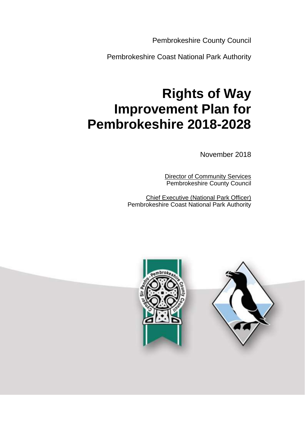Pembrokeshire County Council

Pembrokeshire Coast National Park Authority

# **Rights of Way Improvement Plan for Pembrokeshire 2018-2028**

November 2018

 Director of Community Services Pembrokeshire County Council

Chief Executive (National Park Officer) Pembrokeshire Coast National Park Authority



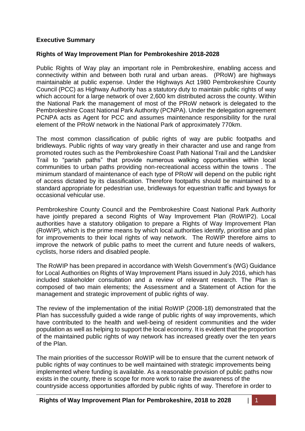### **Executive Summary**

### **Rights of Way Improvement Plan for Pembrokeshire 2018-2028**

Public Rights of Way play an important role in Pembrokeshire, enabling access and connectivity within and between both rural and urban areas. (PRoW) are highways maintainable at public expense. Under the Highways Act 1980 Pembrokeshire County Council (PCC) as Highway Authority has a statutory duty to maintain public rights of way which account for a large network of over 2,600 km distributed across the county. Within the National Park the management of most of the PRoW network is delegated to the Pembrokeshire Coast National Park Authority (PCNPA). Under the delegation agreement PCNPA acts as Agent for PCC and assumes maintenance responsibility for the rural element of the PRoW network in the National Park of approximately 770km.

The most common classification of public rights of way are public footpaths and bridleways. Public rights of way vary greatly in their character and use and range from promoted routes such as the Pembrokeshire Coast Path National Trail and the Landsker Trail to "parish paths" that provide numerous walking opportunities within local communities to urban paths providing non-recreational access within the towns . The minimum standard of maintenance of each type of PRoW will depend on the public right of access dictated by its classification. Therefore footpaths should be maintained to a standard appropriate for pedestrian use, bridleways for equestrian traffic and byways for occasional vehicular use.

Pembrokeshire County Council and the Pembrokeshire Coast National Park Authority have jointly prepared a second Rights of Way Improvement Plan (RoWIP2). Local authorities have a statutory obligation to prepare a Rights of Way Improvement Plan (RoWIP), which is the prime means by which local authorities identify, prioritise and plan for improvements to their local rights of way network. The RoWIP therefore aims to improve the network of public paths to meet the current and future needs of walkers, cyclists, horse riders and disabled people.

The RoWIP has been prepared in accordance with Welsh Government's (WG) Guidance for Local Authorities on Rights of Way Improvement Plans issued in July 2016, which has included stakeholder consultation and a review of relevant research. The Plan is composed of two main elements; the Assessment and a Statement of Action for the management and strategic improvement of public rights of way.

The review of the implementation of the initial RoWIP (2008-18) demonstrated that the Plan has successfully guided a wide range of public rights of way improvements, which have contributed to the health and well-being of resident communities and the wider population as well as helping to support the local economy. It is evident that the proportion of the maintained public rights of way network has increased greatly over the ten years of the Plan.

The main priorities of the successor RoWIP will be to ensure that the current network of public rights of way continues to be well maintained with strategic improvements being implemented where funding is available. As a reasonable provision of public paths now exists in the county, there is scope for more work to raise the awareness of the countryside access opportunities afforded by public rights of way. Therefore in order to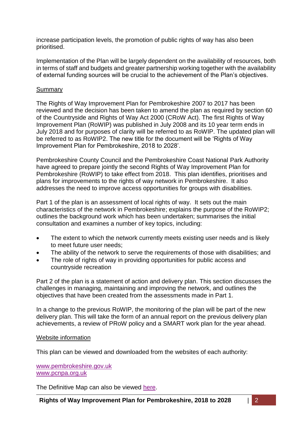increase participation levels, the promotion of public rights of way has also been prioritised.

Implementation of the Plan will be largely dependent on the availability of resources, both in terms of staff and budgets and greater partnership working together with the availability of external funding sources will be crucial to the achievement of the Plan's objectives.

#### Summary

The Rights of Way Improvement Plan for Pembrokeshire 2007 to 2017 has been reviewed and the decision has been taken to amend the plan as required by section 60 of the Countryside and Rights of Way Act 2000 (CRoW Act). The first Rights of Way Improvement Plan (RoWIP) was published in July 2008 and its 10 year term ends in July 2018 and for purposes of clarity will be referred to as RoWIP. The updated plan will be referred to as RoWIP2. The new title for the document will be 'Rights of Way Improvement Plan for Pembrokeshire, 2018 to 2028'.

Pembrokeshire County Council and the Pembrokeshire Coast National Park Authority have agreed to prepare jointly the second Rights of Way Improvement Plan for Pembrokeshire (RoWIP) to take effect from 2018. This plan identifies, prioritises and plans for improvements to the rights of way network in Pembrokeshire. It also addresses the need to improve access opportunities for groups with disabilities.

Part 1 of the plan is an assessment of local rights of way. It sets out the main characteristics of the network in Pembrokeshire; explains the purpose of the RoWIP2; outlines the background work which has been undertaken; summarises the initial consultation and examines a number of key topics, including:

- The extent to which the network currently meets existing user needs and is likely to meet future user needs;
- The ability of the network to serve the requirements of those with disabilities; and
- The role of rights of way in providing opportunities for public access and countryside recreation

Part 2 of the plan is a statement of action and delivery plan. This section discusses the challenges in managing, maintaining and improving the network, and outlines the objectives that have been created from the assessments made in Part 1.

In a change to the previous RoWIP, the monitoring of the plan will be part of the new delivery plan. This will take the form of an annual report on the previous delivery plan achievements, a review of PRoW policy and a SMART work plan for the year ahead.

#### Website information

This plan can be viewed and downloaded from the websites of each authority:

[www.pembrokeshire.gov.uk](https://www.pembrokeshire.gov.uk/) [www.pcnpa.org.uk](http://www.pembrokeshirecoast.org.uk/default.asp?PID=382)

The Definitive Map can also be viewed [here.](https://www.pembrokeshire.gov.uk/definitive-map)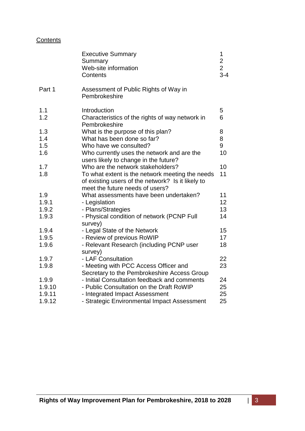# **Contents**

|        | <b>Executive Summary</b><br>Summary<br>Web-site information<br>Contents                                                                 | 1<br>$\frac{2}{2}$<br>$3 - 4$ |
|--------|-----------------------------------------------------------------------------------------------------------------------------------------|-------------------------------|
| Part 1 | Assessment of Public Rights of Way in<br>Pembrokeshire                                                                                  |                               |
| 1.1    | Introduction                                                                                                                            | 5                             |
| 1.2    | Characteristics of the rights of way network in<br>Pembrokeshire                                                                        | 6                             |
| 1.3    | What is the purpose of this plan?                                                                                                       | 8                             |
| 1.4    | What has been done so far?                                                                                                              | 8                             |
| 1.5    | Who have we consulted?                                                                                                                  | 9                             |
| 1.6    | Who currently uses the network and are the<br>users likely to change in the future?                                                     | 10                            |
| 1.7    | Who are the network stakeholders?                                                                                                       | 10                            |
| 1.8    | To what extent is the network meeting the needs<br>of existing users of the network? Is it likely to<br>meet the future needs of users? | 11                            |
| 1.9    | What assessments have been undertaken?                                                                                                  | 11                            |
| 1.9.1  | - Legislation                                                                                                                           | 12                            |
| 1.9.2  | - Plans/Strategies                                                                                                                      | 13                            |
| 1.9.3  | - Physical condition of network (PCNP Full<br>survey)                                                                                   | 14                            |
| 1.9.4  | - Legal State of the Network                                                                                                            | 15                            |
| 1.9.5  | - Review of previous RoWIP                                                                                                              | 17                            |
| 1.9.6  | - Relevant Research (including PCNP user<br>survey)                                                                                     | 18                            |
| 1.9.7  | - LAF Consultation                                                                                                                      | 22                            |
| 1.9.8  | - Meeting with PCC Access Officer and<br>Secretary to the Pembrokeshire Access Group                                                    | 23                            |
| 1.9.9  | - Initial Consultation feedback and comments                                                                                            | 24                            |
| 1.9.10 | - Public Consultation on the Draft RoWIP                                                                                                | 25                            |
| 1.9.11 | - Integrated Impact Assessment                                                                                                          | 25                            |
| 1.9.12 | - Strategic Environmental Impact Assessment                                                                                             | 25                            |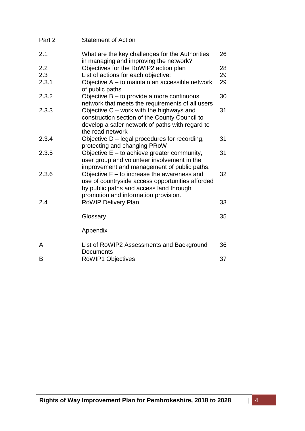| Part 2 | <b>Statement of Action</b>                                                                                                                                                           |    |
|--------|--------------------------------------------------------------------------------------------------------------------------------------------------------------------------------------|----|
| 2.1    | What are the key challenges for the Authorities<br>in managing and improving the network?                                                                                            | 26 |
| 2.2    | Objectives for the RoWIP2 action plan                                                                                                                                                | 28 |
| 2.3    | List of actions for each objective:                                                                                                                                                  | 29 |
| 2.3.1  | Objective A - to maintain an accessible network<br>of public paths                                                                                                                   | 29 |
| 2.3.2  | Objective B - to provide a more continuous<br>network that meets the requirements of all users                                                                                       | 30 |
| 2.3.3  | Objective C - work with the highways and<br>construction section of the County Council to<br>develop a safer network of paths with regard to<br>the road network                     | 31 |
| 2.3.4  | Objective D - legal procedures for recording,<br>protecting and changing PRoW                                                                                                        | 31 |
| 2.3.5  | Objective E - to achieve greater community,<br>user group and volunteer involvement in the<br>improvement and management of public paths.                                            | 31 |
| 2.3.6  | Objective $F -$ to increase the awareness and<br>use of countryside access opportunities afforded<br>by public paths and access land through<br>promotion and information provision. | 32 |
| 2.4    | RoWIP Delivery Plan                                                                                                                                                                  | 33 |
|        | Glossary                                                                                                                                                                             | 35 |
|        | Appendix                                                                                                                                                                             |    |
| A      | List of RoWIP2 Assessments and Background<br><b>Documents</b>                                                                                                                        | 36 |
| B      | <b>RoWIP1 Objectives</b>                                                                                                                                                             | 37 |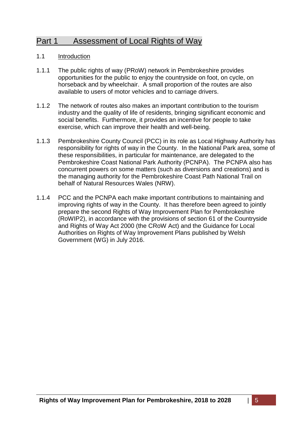# Part 1 Assessment of Local Rights of Way

## 1.1 Introduction

- 1.1.1 The public rights of way (PRoW) network in Pembrokeshire provides opportunities for the public to enjoy the countryside on foot, on cycle, on horseback and by wheelchair. A small proportion of the routes are also available to users of motor vehicles and to carriage drivers.
- 1.1.2 The network of routes also makes an important contribution to the tourism industry and the quality of life of residents, bringing significant economic and social benefits. Furthermore, it provides an incentive for people to take exercise, which can improve their health and well-being.
- 1.1.3 Pembrokeshire County Council (PCC) in its role as Local Highway Authority has responsibility for rights of way in the County. In the National Park area, some of these responsibilities, in particular for maintenance, are delegated to the Pembrokeshire Coast National Park Authority (PCNPA). The PCNPA also has concurrent powers on some matters (such as diversions and creations) and is the managing authority for the Pembrokeshire Coast Path National Trail on behalf of Natural Resources Wales (NRW).
- 1.1.4 PCC and the PCNPA each make important contributions to maintaining and improving rights of way in the County. It has therefore been agreed to jointly prepare the second Rights of Way Improvement Plan for Pembrokeshire (RoWIP2), in accordance with the provisions of section 61 of the Countryside and Rights of Way Act 2000 (the CRoW Act) and the Guidance for Local Authorities on Rights of Way Improvement Plans published by Welsh Government (WG) in July 2016.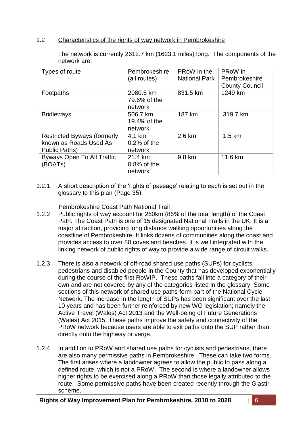# 1.2 Characteristics of the rights of way network in Pembrokeshire

| Types of route                                                                | Pembrokeshire<br>(all routes)        | PRoW in the<br><b>National Park</b> | PRoW in<br>Pembrokeshire<br><b>County Council</b> |
|-------------------------------------------------------------------------------|--------------------------------------|-------------------------------------|---------------------------------------------------|
| Footpaths                                                                     | 2080.5 km<br>79.6% of the<br>network | 831.5 km                            | 1249 km                                           |
| <b>Bridleways</b>                                                             | 506.7 km<br>19.4% of the<br>network  | 187 km                              | 319.7 km                                          |
| <b>Restricted Byways (formerly</b><br>known as Roads Used As<br>Public Paths) | 4.1 km<br>$0.2\%$ of the<br>network  | 2.6 km                              | $1.5 \text{ km}$                                  |
| <b>Byways Open To All Traffic</b><br>(BOATs)                                  | 21.4 km<br>$0.8\%$ of the<br>network | 9.8 km                              | 11.6 km                                           |

The network is currently 2612.7 km (1623.1 miles) long. The components of the network are:

1.2.1 A short description of the 'rights of passage' relating to each is set out in the glossary to this plan (Page 35).

# Pembrokeshire Coast Path National Trail

- 1.2.2 Public rights of way account for 260km (86% of the total length) of the Coast Path. The Coast Path is one of 15 designated National Trails in the UK. It is a major attraction, providing long distance walking opportunities along the coastline of Pembrokeshire. It links dozens of communities along the coast and provides access to over 80 coves and beaches. It is well integrated with the linking network of public rights of way to provide a wide range of circuit walks.
- 1.2.3 There is also a network of off-road shared use paths (SUPs) for cyclists, pedestrians and disabled people in the County that has developed exponentially during the course of the first RoWIP. These paths fall into a category of their own and are not covered by any of the categories listed in the glossary. Some sections of this network of shared use paths form part of the National Cycle Network. The increase in the length of SUPs has been significant over the last 10 years and has been further reinforced by new WG legislation; namely the Active Travel (Wales) Act 2013 and the Well-being of Future Generations (Wales) Act 2015. These paths improve the safety and connectivity of the PRoW network because users are able to exit paths onto the SUP rather than directly onto the highway or verge.
- 1.2.4 In addition to PRoW and shared use paths for cyclists and pedestrians, there are also many permissive paths in Pembrokeshire. These can take two forms. The first arises where a landowner agrees to allow the public to pass along a defined route, which is not a PRoW. The second is where a landowner allows higher rights to be exercised along a PRoW than those legally attributed to the route. Some permissive paths have been created recently through the Glastir scheme.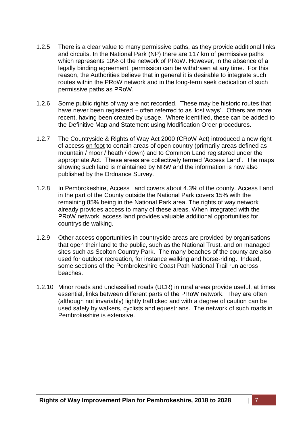- 1.2.5 There is a clear value to many permissive paths, as they provide additional links and circuits. In the National Park (NP) there are 117 km of permissive paths which represents 10% of the network of PRoW. However, in the absence of a legally binding agreement, permission can be withdrawn at any time. For this reason, the Authorities believe that in general it is desirable to integrate such routes within the PRoW network and in the long-term seek dedication of such permissive paths as PRoW.
- 1.2.6 Some public rights of way are not recorded. These may be historic routes that have never been registered – often referred to as 'lost ways'. Others are more recent, having been created by usage. Where identified, these can be added to the Definitive Map and Statement using Modification Order procedures.
- 1.2.7 The Countryside & Rights of Way Act 2000 (CRoW Act) introduced a new right of access on foot to certain areas of open country (primarily areas defined as mountain / moor / heath / down) and to Common Land registered under the appropriate Act. These areas are collectively termed 'Access Land'. The maps showing such land is maintained by NRW and the information is now also published by the Ordnance Survey.
- 1.2.8 In Pembrokeshire, Access Land covers about 4.3% of the county. Access Land in the part of the County outside the National Park covers 15% with the remaining 85% being in the National Park area. The rights of way network already provides access to many of these areas. When integrated with the PRoW network, access land provides valuable additional opportunities for countryside walking.
- 1.2.9 Other access opportunities in countryside areas are provided by organisations that open their land to the public, such as the National Trust, and on managed sites such as Scolton Country Park. The many beaches of the county are also used for outdoor recreation, for instance walking and horse-riding. Indeed, some sections of the Pembrokeshire Coast Path National Trail run across beaches.
- 1.2.10 Minor roads and unclassified roads (UCR) in rural areas provide useful, at times essential, links between different parts of the PRoW network. They are often (although not invariably) lightly trafficked and with a degree of caution can be used safely by walkers, cyclists and equestrians. The network of such roads in Pembrokeshire is extensive.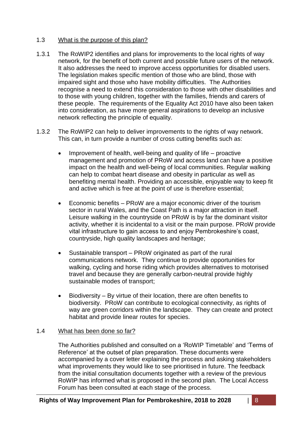# 1.3 What is the purpose of this plan?

- 1.3.1 The RoWIP2 identifies and plans for improvements to the local rights of way network, for the benefit of both current and possible future users of the network. It also addresses the need to improve access opportunities for disabled users. The legislation makes specific mention of those who are blind, those with impaired sight and those who have mobility difficulties. The Authorities recognise a need to extend this consideration to those with other disabilities and to those with young children, together with the families, friends and carers of these people. The requirements of the Equality Act 2010 have also been taken into consideration, as have more general aspirations to develop an inclusive network reflecting the principle of equality.
- 1.3.2 The RoWIP2 can help to deliver improvements to the rights of way network. This can, in turn provide a number of cross cutting benefits such as:
	- $\bullet$  Improvement of health, well-being and quality of life proactive management and promotion of PRoW and access land can have a positive impact on the health and well-being of local communities. Regular walking can help to combat heart disease and obesity in particular as well as benefiting mental health. Providing an accessible, enjoyable way to keep fit and active which is free at the point of use is therefore essential;
	- Economic benefits PRoW are a major economic driver of the tourism sector in rural Wales, and the Coast Path is a major attraction in itself. Leisure walking in the countryside on PRoW is by far the dominant visitor activity, whether it is incidental to a visit or the main purpose. PRoW provide vital infrastructure to gain access to and enjoy Pembrokeshire's coast, countryside, high quality landscapes and heritage;
	- Sustainable transport PRoW originated as part of the rural communications network. They continue to provide opportunities for walking, cycling and horse riding which provides alternatives to motorised travel and because they are generally carbon-neutral provide highly sustainable modes of transport;
	- Biodiversity By virtue of their location, there are often benefits to biodiversity. PRoW can contribute to ecological connectivity, as rights of way are green corridors within the landscape. They can create and protect habitat and provide linear routes for species.

# 1.4 What has been done so far?

The Authorities published and consulted on a 'RoWIP Timetable' and 'Terms of Reference' at the outset of plan preparation. These documents were accompanied by a cover letter explaining the process and asking stakeholders what improvements they would like to see prioritised in future. The feedback from the initial consultation documents together with a review of the previous RoWIP has informed what is proposed in the second plan. The Local Access Forum has been consulted at each stage of the process.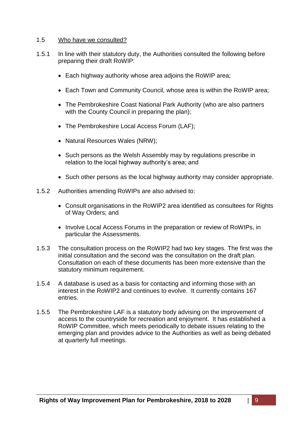#### 1.5 Who have we consulted?

- 1.5.1 In line with their statutory duty, the Authorities consulted the following before preparing their draft RoWIP:
	- Each highway authority whose area adjoins the RoWIP area;
	- Each Town and Community Council, whose area is within the RoWIP area;
	- The Pembrokeshire Coast National Park Authority (who are also partners with the County Council in preparing the plan);
	- The Pembrokeshire Local Access Forum (LAF);
	- Natural Resources Wales (NRW);
	- Such persons as the Welsh Assembly may by regulations prescribe in relation to the local highway authority's area; and
	- Such other persons as the local highway authority may consider appropriate.
- 1.5.2 Authorities amending RoWIPs are also advised to:
	- Consult organisations in the RoWIP2 area identified as consultees for Rights of Way Orders; and
	- Involve Local Access Forums in the preparation or review of RoWIPs, in particular the Assessments.
- 1.5.3 The consultation process on the RoWIP2 had two key stages. The first was the initial consultation and the second was the consultation on the draft plan. Consultation on each of these documents has been more extensive than the statutory minimum requirement.
- 1.5.4 A database is used as a basis for contacting and informing those with an interest in the RoWIP2 and continues to evolve. It currently contains 167 entries.
- 1.5.5 The Pembrokeshire LAF is a statutory body advising on the improvement of access to the countryside for recreation and enjoyment. It has established a RoWIP Committee, which meets periodically to debate issues relating to the emerging plan and provides advice to the Authorities as well as being debated at quarterly full meetings.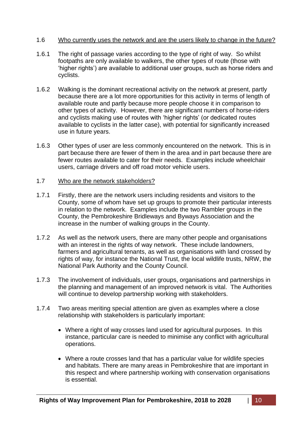#### 1.6 Who currently uses the network and are the users likely to change in the future?

- 1.6.1 The right of passage varies according to the type of right of way. So whilst footpaths are only available to walkers, the other types of route (those with 'higher rights') are available to additional user groups, such as horse riders and cyclists.
- 1.6.2 Walking is the dominant recreational activity on the network at present, partly because there are a lot more opportunities for this activity in terms of length of available route and partly because more people choose it in comparison to other types of activity. However, there are significant numbers of horse-riders and cyclists making use of routes with 'higher rights' (or dedicated routes available to cyclists in the latter case), with potential for significantly increased use in future years.
- 1.6.3 Other types of user are less commonly encountered on the network. This is in part because there are fewer of them in the area and in part because there are fewer routes available to cater for their needs. Examples include wheelchair users, carriage drivers and off road motor vehicle users.
- 1.7 Who are the network stakeholders?
- 1.7.1 Firstly, there are the network users including residents and visitors to the County, some of whom have set up groups to promote their particular interests in relation to the network. Examples include the two Rambler groups in the County, the Pembrokeshire Bridleways and Byways Association and the increase in the number of walking groups in the County.
- 1.7.2 As well as the network users, there are many other people and organisations with an interest in the rights of way network. These include landowners, farmers and agricultural tenants, as well as organisations with land crossed by rights of way, for instance the National Trust, the local wildlife trusts, NRW, the National Park Authority and the County Council.
- 1.7.3 The involvement of individuals, user groups, organisations and partnerships in the planning and management of an improved network is vital. The Authorities will continue to develop partnership working with stakeholders.
- 1.7.4 Two areas meriting special attention are given as examples where a close relationship with stakeholders is particularly important:
	- Where a right of way crosses land used for agricultural purposes. In this instance, particular care is needed to minimise any conflict with agricultural operations.
	- Where a route crosses land that has a particular value for wildlife species and habitats. There are many areas in Pembrokeshire that are important in this respect and where partnership working with conservation organisations is essential.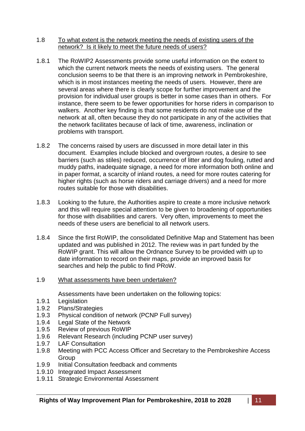#### 1.8 To what extent is the network meeting the needs of existing users of the network? Is it likely to meet the future needs of users?

- 1.8.1 The RoWIP2 Assessments provide some useful information on the extent to which the current network meets the needs of existing users. The general conclusion seems to be that there is an improving network in Pembrokeshire, which is in most instances meeting the needs of users. However, there are several areas where there is clearly scope for further improvement and the provision for individual user groups is better in some cases than in others. For instance, there seem to be fewer opportunities for horse riders in comparison to walkers. Another key finding is that some residents do not make use of the network at all, often because they do not participate in any of the activities that the network facilitates because of lack of time, awareness, inclination or problems with transport.
- 1.8.2 The concerns raised by users are discussed in more detail later in this document. Examples include blocked and overgrown routes, a desire to see barriers (such as stiles) reduced, occurrence of litter and dog fouling, rutted and muddy paths, inadequate signage, a need for more information both online and in paper format, a scarcity of inland routes, a need for more routes catering for higher rights (such as horse riders and carriage drivers) and a need for more routes suitable for those with disabilities.
- 1.8.3 Looking to the future, the Authorities aspire to create a more inclusive network and this will require special attention to be given to broadening of opportunities for those with disabilities and carers. Very often, improvements to meet the needs of these users are beneficial to all network users.
- 1.8.4 Since the first RoWIP, the consolidated Definitive Map and Statement has been updated and was published in 2012. The review was in part funded by the RoWIP grant. This will allow the Ordnance Survey to be provided with up to date information to record on their maps, provide an improved basis for searches and help the public to find PRoW.

# 1.9 What assessments have been undertaken?

Assessments have been undertaken on the following topics:

- 1.9.1 Legislation
- 1.9.2 Plans/Strategies
- 1.9.3 Physical condition of network (PCNP Full survey)
- 1.9.4 Legal State of the Network
- 1.9.5 Review of previous RoWIP
- 1.9.6 Relevant Research (including PCNP user survey)
- 1.9.7 LAF Consultation
- 1.9.8 Meeting with PCC Access Officer and Secretary to the Pembrokeshire Access **Group**
- 1.9.9 Initial Consultation feedback and comments
- 1.9.10 Integrated Impact Assessment
- 1.9.11 Strategic Environmental Assessment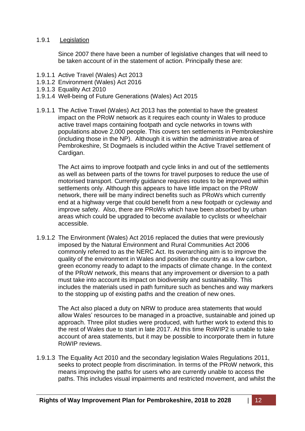#### 1.9.1 Legislation

Since 2007 there have been a number of legislative changes that will need to be taken account of in the statement of action. Principally these are:

- 1.9.1.1 Active Travel (Wales) Act 2013
- 1.9.1.2 Environment (Wales) Act 2016
- 1.9.1.3 Equality Act 2010
- 1.9.1.4 Well-being of Future Generations (Wales) Act 2015
- 1.9.1.1 The Active Travel (Wales) Act 2013 has the potential to have the greatest impact on the PRoW network as it requires each county in Wales to produce active travel maps containing footpath and cycle networks in towns with populations above 2,000 people. This covers ten settlements in Pembrokeshire (including those in the NP). Although it is within the administrative area of Pembrokeshire, St Dogmaels is included within the Active Travel settlement of Cardigan.

The Act aims to improve footpath and cycle links in and out of the settlements as well as between parts of the towns for travel purposes to reduce the use of motorised transport. Currently guidance requires routes to be improved within settlements only. Although this appears to have little impact on the PRoW network, there will be many indirect benefits such as PRoWs which currently end at a highway verge that could benefit from a new footpath or cycleway and improve safety. Also, there are PRoWs which have been absorbed by urban areas which could be upgraded to become available to cyclists or wheelchair accessible.

1.9.1.2 The Environment (Wales) Act 2016 replaced the duties that were previously imposed by the Natural Environment and Rural Communities Act 2006 commonly referred to as the NERC Act. Its overarching aim is to improve the quality of the environment in Wales and position the country as a low carbon, green economy ready to adapt to the impacts of climate change. In the context of the PRoW network, this means that any improvement or diversion to a path must take into account its impact on biodiversity and sustainability. This includes the materials used in path furniture such as benches and way markers to the stopping up of existing paths and the creation of new ones.

The Act also placed a duty on NRW to produce area statements that would allow Wales' resources to be managed in a proactive, sustainable and joined up approach. Three pilot studies were produced, with further work to extend this to the rest of Wales due to start in late 2017. At this time RoWIP2 is unable to take account of area statements, but it may be possible to incorporate them in future RoWIP reviews.

1.9.1.3 The Equality Act 2010 and the secondary legislation Wales Regulations 2011, seeks to protect people from discrimination. In terms of the PRoW network, this means improving the paths for users who are currently unable to access the paths. This includes visual impairments and restricted movement, and whilst the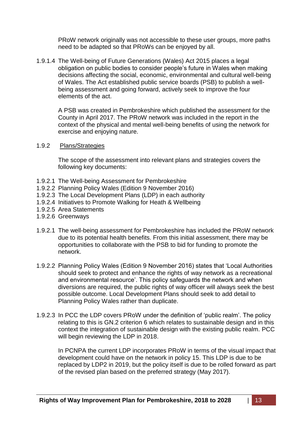PRoW network originally was not accessible to these user groups, more paths need to be adapted so that PRoWs can be enjoyed by all.

1.9.1.4 The Well-being of Future Generations (Wales) Act 2015 places a legal obligation on public bodies to consider people's future in Wales when making decisions affecting the social, economic, environmental and cultural well-being of Wales. The Act established public service boards (PSB) to publish a wellbeing assessment and going forward, actively seek to improve the four elements of the act.

A PSB was created in Pembrokeshire which published the assessment for the County in April 2017. The PRoW network was included in the report in the context of the physical and mental well-being benefits of using the network for exercise and enjoying nature.

#### 1.9.2 Plans/Strategies

The scope of the assessment into relevant plans and strategies covers the following key documents:

- 1.9.2.1 The Well-being Assessment for Pembrokeshire
- 1.9.2.2 Planning Policy Wales (Edition 9 November 2016)
- 1.9.2.3 The Local Development Plans (LDP) in each authority
- 1.9.2.4 Initiatives to Promote Walking for Heath & Wellbeing
- 1.9.2.5 Area Statements
- 1.9.2.6 Greenways
- 1.9.2.1 The well-being assessment for Pembrokeshire has included the PRoW network due to its potential health benefits. From this initial assessment, there may be opportunities to collaborate with the PSB to bid for funding to promote the network.
- 1.9.2.2 Planning Policy Wales (Edition 9 November 2016) states that 'Local Authorities should seek to protect and enhance the rights of way network as a recreational and environmental resource'. This policy safeguards the network and when diversions are required, the public rights of way officer will always seek the best possible outcome. Local Development Plans should seek to add detail to Planning Policy Wales rather than duplicate.
- 1.9.2.3 In PCC the LDP covers PRoW under the definition of 'public realm'. The policy relating to this is GN.2 criterion 6 which relates to sustainable design and in this context the integration of sustainable design with the existing public realm. PCC will begin reviewing the LDP in 2018.

In PCNPA the current LDP incorporates PRoW in terms of the visual impact that development could have on the network in policy 15. This LDP is due to be replaced by LDP2 in 2019, but the policy itself is due to be rolled forward as part of the revised plan based on the preferred strategy (May 2017).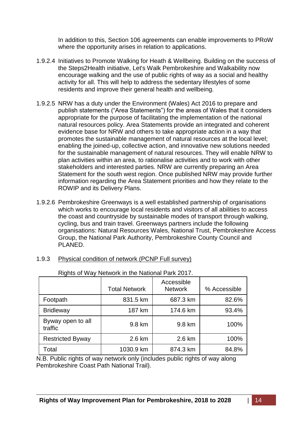In addition to this, Section 106 agreements can enable improvements to PRoW where the opportunity arises in relation to applications.

- 1.9.2.4 Initiatives to Promote Walking for Heath & Wellbeing. Building on the success of the Steps2Health initiative, Let's Walk Pembrokeshire and Walkability now encourage walking and the use of public rights of way as a social and healthy activity for all. This will help to address the sedentary lifestyles of some residents and improve their general health and wellbeing.
- 1.9.2.5 NRW has a duty under the Environment (Wales) Act 2016 to prepare and publish statements ("Area Statements") for the areas of Wales that it considers appropriate for the purpose of facilitating the implementation of the national natural resources policy. Area Statements provide an integrated and coherent evidence base for NRW and others to take appropriate action in a way that promotes the sustainable management of natural resources at the local level; enabling the joined-up, collective action, and innovative new solutions needed for the sustainable management of natural resources. They will enable NRW to plan activities within an area, to rationalise activities and to work with other stakeholders and interested parties. NRW are currently preparing an Area Statement for the south west region. Once published NRW may provide further information regarding the Area Statement priorities and how they relate to the ROWIP and its Delivery Plans.
- 1.9.2.6 Pembrokeshire Greenways is a well established partnership of organisations which works to encourage local residents and visitors of all abilities to access the coast and countryside by sustainable modes of transport through walking, cycling, bus and train travel. Greenways partners include the following organisations: Natural Resources Wales, National Trust, Pembrokeshire Access Group, the National Park Authority, Pembrokeshire County Council and PLANED.

| Rights of Way Network in the National Park 2017. |                      |                              |              |
|--------------------------------------------------|----------------------|------------------------------|--------------|
|                                                  | <b>Total Network</b> | Accessible<br><b>Network</b> | % Accessible |
| Footpath                                         | 831.5 km             | 687.3 km                     | 82.6%        |
| <b>Bridleway</b>                                 | 187 km               | 174.6 km                     | 93.4%        |
| Byway open to all<br>traffic                     | 9.8 km               | 9.8 km                       | 100%         |
| <b>Restricted Byway</b>                          | 2.6 km               | 2.6 km                       | 100%         |
| Total                                            | 1030.9 km            | 874.3 km                     | 84.8%        |

| Physical condition of network (PCNP Full survey)<br>1.9.3 |  |
|-----------------------------------------------------------|--|
|-----------------------------------------------------------|--|

N.B. Public rights of way network only (includes public rights of way along Pembrokeshire Coast Path National Trail).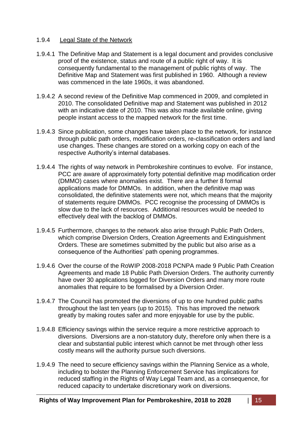# 1.9.4 Legal State of the Network

- 1.9.4.1 The Definitive Map and Statement is a legal document and provides conclusive proof of the existence, status and route of a public right of way. It is consequently fundamental to the management of public rights of way. The Definitive Map and Statement was first published in 1960. Although a review was commenced in the late 1960s, it was abandoned.
- 1.9.4.2 A second review of the Definitive Map commenced in 2009, and completed in 2010. The consolidated Definitive map and Statement was published in 2012 with an indicative date of 2010. This was also made available online, giving people instant access to the mapped network for the first time.
- 1.9.4.3 Since publication, some changes have taken place to the network, for instance through public path orders, modification orders, re-classification orders and land use changes. These changes are stored on a working copy on each of the respective Authority's internal databases.
- 1.9.4.4 The rights of way network in Pembrokeshire continues to evolve. For instance, PCC are aware of approximately forty potential definitive map modification order (DMMO) cases where anomalies exist. There are a further 8 formal applications made for DMMOs. In addition, when the definitive map was consolidated, the definitive statements were not, which means that the majority of statements require DMMOs. PCC recognise the processing of DMMOs is slow due to the lack of resources. Additional resources would be needed to effectively deal with the backlog of DMMOs.
- 1.9.4.5 Furthermore, changes to the network also arise through Public Path Orders, which comprise Diversion Orders, Creation Agreements and Extinguishment Orders. These are sometimes submitted by the public but also arise as a consequence of the Authorities' path opening programmes.
- 1.9.4.6 Over the course of the RoWIP 2008-2018 PCNPA made 9 Public Path Creation Agreements and made 18 Public Path Diversion Orders. The authority currently have over 30 applications logged for Diversion Orders and many more route anomalies that require to be formalised by a Diversion Order.
- 1.9.4.7 The Council has promoted the diversions of up to one hundred public paths throughout the last ten years (up to 2015). This has improved the network greatly by making routes safer and more enjoyable for use by the public.
- 1.9.4.8 Efficiency savings within the service require a more restrictive approach to diversions. Diversions are a non-statutory duty, therefore only when there is a clear and substantial public interest which cannot be met through other less costly means will the authority pursue such diversions.
- 1.9.4.9 The need to secure efficiency savings within the Planning Service as a whole, including to bolster the Planning Enforcement Service has implications for reduced staffing in the Rights of Way Legal Team and, as a consequence, for reduced capacity to undertake discretionary work on diversions.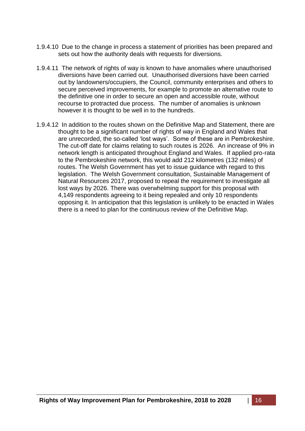- 1.9.4.10 Due to the change in process a statement of priorities has been prepared and sets out how the authority deals with requests for diversions.
- 1.9.4.11 The network of rights of way is known to have anomalies where unauthorised diversions have been carried out. Unauthorised diversions have been carried out by landowners/occupiers, the Council, community enterprises and others to secure perceived improvements, for example to promote an alternative route to the definitive one in order to secure an open and accessible route, without recourse to protracted due process. The number of anomalies is unknown however it is thought to be well in to the hundreds.
- 1.9.4.12 In addition to the routes shown on the Definitive Map and Statement, there are thought to be a significant number of rights of way in England and Wales that are unrecorded, the so-called 'lost ways'. Some of these are in Pembrokeshire. The cut-off date for claims relating to such routes is 2026. An increase of 9% in network length is anticipated throughout England and Wales. If applied pro-rata to the Pembrokeshire network, this would add 212 kilometres (132 miles) of routes. The Welsh Government has yet to issue guidance with regard to this legislation. The Welsh Government consultation, Sustainable Management of Natural Resources 2017, proposed to repeal the requirement to investigate all lost ways by 2026. There was overwhelming support for this proposal with 4,149 respondents agreeing to it being repealed and only 10 respondents opposing it. In anticipation that this legislation is unlikely to be enacted in Wales there is a need to plan for the continuous review of the Definitive Map.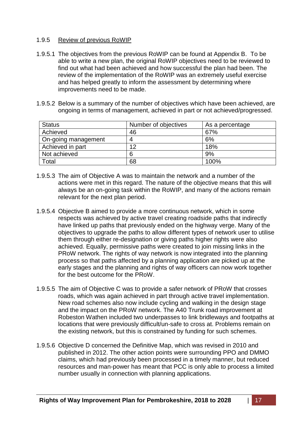#### 1.9.5 Review of previous RoWIP

- 1.9.5.1 The objectives from the previous RoWIP can be found at Appendix B. To be able to write a new plan, the original RoWIP objectives need to be reviewed to find out what had been achieved and how successful the plan had been. The review of the implementation of the RoWIP was an extremely useful exercise and has helped greatly to inform the assessment by determining where improvements need to be made.
- 1.9.5.2 Below is a summary of the number of objectives which have been achieved, are ongoing in terms of management, achieved in part or not achieved/progressed.

| <b>Status</b>       | Number of objectives | As a percentage |
|---------------------|----------------------|-----------------|
| Achieved            | 46                   | 67%             |
| On-going management |                      | 6%              |
| Achieved in part    | 12                   | 18%             |
| Not achieved        |                      | 9%              |
| Total               | 68                   | 100%            |

- 1.9.5.3 The aim of Objective A was to maintain the network and a number of the actions were met in this regard. The nature of the objective means that this will always be an on-going task within the RoWIP, and many of the actions remain relevant for the next plan period.
- 1.9.5.4 Objective B aimed to provide a more continuous network, which in some respects was achieved by active travel creating roadside paths that indirectly have linked up paths that previously ended on the highway verge. Many of the objectives to upgrade the paths to allow different types of network user to utilise them through either re-designation or giving paths higher rights were also achieved. Equally, permissive paths were created to join missing links in the PRoW network. The rights of way network is now integrated into the planning process so that paths affected by a planning application are picked up at the early stages and the planning and rights of way officers can now work together for the best outcome for the PRoW.
- 1.9.5.5 The aim of Objective C was to provide a safer network of PRoW that crosses roads, which was again achieved in part through active travel implementation. New road schemes also now include cycling and walking in the design stage and the impact on the PRoW network. The A40 Trunk road improvement at Robeston Wathen included two underpasses to link bridleways and footpaths at locations that were previously difficult/un-safe to cross at. Problems remain on the existing network, but this is constrained by funding for such schemes.
- 1.9.5.6 Objective D concerned the Definitive Map, which was revised in 2010 and published in 2012. The other action points were surrounding PPO and DMMO claims, which had previously been processed in a timely manner, but reduced resources and man-power has meant that PCC is only able to process a limited number usually in connection with planning applications.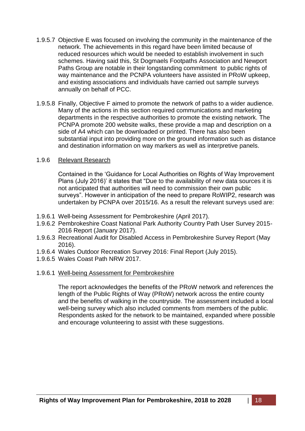- 1.9.5.7 Objective E was focused on involving the community in the maintenance of the network. The achievements in this regard have been limited because of reduced resources which would be needed to establish involvement in such schemes. Having said this, St Dogmaels Footpaths Association and Newport Paths Group are notable in their longstanding commitment to public rights of way maintenance and the PCNPA volunteers have assisted in PRoW upkeep, and existing associations and individuals have carried out sample surveys annually on behalf of PCC.
- 1.9.5.8 Finally, Objective F aimed to promote the network of paths to a wider audience. Many of the actions in this section required communications and marketing departments in the respective authorities to promote the existing network. The PCNPA promote 200 website walks, these provide a map and description on a side of A4 which can be downloaded or printed. There has also been substantial input into providing more on the ground information such as distance and destination information on way markers as well as interpretive panels.

#### 1.9.6 Relevant Research

Contained in the 'Guidance for Local Authorities on Rights of Way Improvement Plans (July 2016)' it states that "Due to the availability of new data sources it is not anticipated that authorities will need to commission their own public surveys". However in anticipation of the need to prepare RoWIP2, research was undertaken by PCNPA over 2015/16. As a result the relevant surveys used are:

- 1.9.6.1 Well-being Assessment for Pembrokeshire (April 2017).
- 1.9.6.2 Pembrokeshire Coast National Park Authority Country Path User Survey 2015- 2016 Report (January 2017).
- 1.9.6.3 Recreational Audit for Disabled Access in Pembrokeshire Survey Report (May 2016).
- 1.9.6.4 Wales Outdoor Recreation Survey 2016: Final Report (July 2015).
- 1.9.6.5 Wales Coast Path NRW 2017.

#### 1.9.6.1 Well-being Assessment for Pembrokeshire

The report acknowledges the benefits of the PRoW network and references the length of the Public Rights of Way (PRoW) network across the entire county and the benefits of walking in the countryside. The assessment included a local well-being survey which also included comments from members of the public. Respondents asked for the network to be maintained, expanded where possible and encourage volunteering to assist with these suggestions.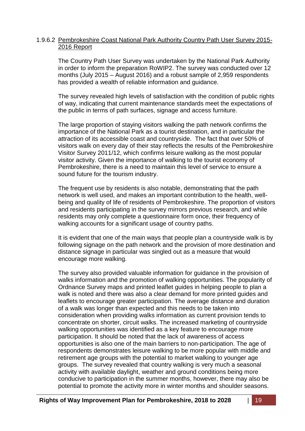#### 1.9.6.2 Pembrokeshire Coast National Park Authority Country Path User Survey 2015- 2016 Report

The Country Path User Survey was undertaken by the National Park Authority in order to inform the preparation RoWIP2. The survey was conducted over 12 months (July 2015 – August 2016) and a robust sample of 2,959 respondents has provided a wealth of reliable information and guidance.

The survey revealed high levels of satisfaction with the condition of public rights of way, indicating that current maintenance standards meet the expectations of the public in terms of path surfaces, signage and access furniture.

The large proportion of staying visitors walking the path network confirms the importance of the National Park as a tourist destination, and in particular the attraction of its accessible coast and countryside. The fact that over 50% of visitors walk on every day of their stay reflects the results of the Pembrokeshire Visitor Survey 2011/12, which confirms leisure walking as the most popular visitor activity. Given the importance of walking to the tourist economy of Pembrokeshire, there is a need to maintain this level of service to ensure a sound future for the tourism industry.

The frequent use by residents is also notable, demonstrating that the path network is well used, and makes an important contribution to the health, wellbeing and quality of life of residents of Pembrokeshire. The proportion of visitors and residents participating in the survey mirrors previous research, and while residents may only complete a questionnaire form once, their frequency of walking accounts for a significant usage of country paths.

It is evident that one of the main ways that people plan a countryside walk is by following signage on the path network and the provision of more destination and distance signage in particular was singled out as a measure that would encourage more walking.

The survey also provided valuable information for guidance in the provision of walks information and the promotion of walking opportunities. The popularity of Ordnance Survey maps and printed leaflet guides in helping people to plan a walk is noted and there was also a clear demand for more printed guides and leaflets to encourage greater participation. The average distance and duration of a walk was longer than expected and this needs to be taken into consideration when providing walks information as current provision tends to concentrate on shorter, circuit walks. The increased marketing of countryside walking opportunities was identified as a key feature to encourage more participation. It should be noted that the lack of awareness of access opportunities is also one of the main barriers to non-participation. The age of respondents demonstrates leisure walking to be more popular with middle and retirement age groups with the potential to market walking to younger age groups. The survey revealed that country walking is very much a seasonal activity with available daylight, weather and ground conditions being more conducive to participation in the summer months, however, there may also be potential to promote the activity more in winter months and shoulder seasons.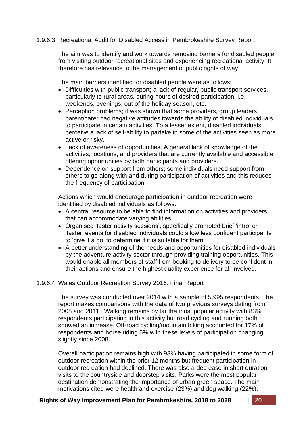# 1.9.6.3 Recreational Audit for Disabled Access in Pembrokeshire Survey Report

The aim was to identify and work towards removing barriers for disabled people from visiting outdoor recreational sites and experiencing recreational activity. It therefore has relevance to the management of public rights of way.

The main barriers identified for disabled people were as follows:

- Difficulties with public transport; a lack of regular, public transport services, particularly to rural areas, during hours of desired participation, i.e. weekends, evenings, out of the holiday season, etc.
- Perception problems; it was shown that some providers, group leaders, parent/carer had negative attitudes towards the ability of disabled individuals to participate in certain activities. To a lesser extent, disabled individuals perceive a lack of self-ability to partake in some of the activities seen as more active or risky.
- Lack of awareness of opportunities. A general lack of knowledge of the activities, locations, and providers that are currently available and accessible offering opportunities by both participants and providers.
- Dependence on support from others; some individuals need support from others to go along with and during participation of activities and this reduces the frequency of participation.

Actions which would encourage participation in outdoor recreation were identified by disabled individuals as follows:

- A central resource to be able to find information on activities and providers that can accommodate varying abilities.
- Organised 'taster activity sessions'; specifically promoted brief 'intro' or 'taster' events for disabled individuals could allow less confident participants to 'give it a go' to determine if it is suitable for them.
- A better understanding of the needs and opportunities for disabled individuals by the adventure activity sector through providing training opportunities. This would enable all members of staff from booking to delivery to be confident in their actions and ensure the highest quality experience for all involved.

# 1.9.6.4 Wales Outdoor Recreation Survey 2016: Final Report

The survey was conducted over 2014 with a sample of 5,995 respondents. The report makes comparisons with the data of two previous surveys dating from 2008 and 2011. Walking remains by far the most popular activity with 83% respondents participating in this activity but road cycling and running both showed an increase. Off-road cycling/mountain biking accounted for 17% of respondents and horse riding 6% with these levels of participation changing slightly since 2008.

Overall participation remains high with 93% having participated in some form of outdoor recreation within the prior 12 months but frequent participation in outdoor recreation had declined. There was also a decrease in short duration visits to the countryside and doorstep visits. Parks were the most popular destination demonstrating the importance of urban green space. The main motivations cited were health and exercise (23%) and dog walking (22%).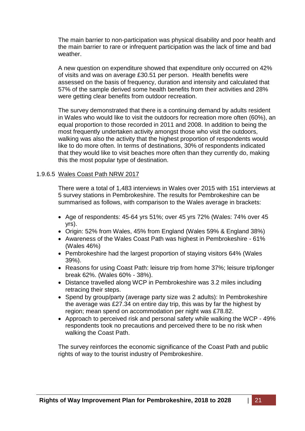The main barrier to non-participation was physical disability and poor health and the main barrier to rare or infrequent participation was the lack of time and bad weather.

A new question on expenditure showed that expenditure only occurred on 42% of visits and was on average £30.51 per person. Health benefits were assessed on the basis of frequency, duration and intensity and calculated that 57% of the sample derived some health benefits from their activities and 28% were getting clear benefits from outdoor recreation.

The survey demonstrated that there is a continuing demand by adults resident in Wales who would like to visit the outdoors for recreation more often (60%), an equal proportion to those recorded in 2011 and 2008. In addition to being the most frequently undertaken activity amongst those who visit the outdoors, walking was also the activity that the highest proportion of respondents would like to do more often. In terms of destinations, 30% of respondents indicated that they would like to visit beaches more often than they currently do, making this the most popular type of destination.

#### 1.9.6.5 Wales Coast Path NRW 2017

There were a total of 1,483 interviews in Wales over 2015 with 151 interviews at 5 survey stations in Pembrokeshire. The results for Pembrokeshire can be summarised as follows, with comparison to the Wales average in brackets:

- Age of respondents: 45-64 yrs 51%; over 45 yrs 72% (Wales: 74% over 45 yrs).
- Origin: 52% from Wales, 45% from England (Wales 59% & England 38%)
- Awareness of the Wales Coast Path was highest in Pembrokeshire 61% (Wales 46%)
- Pembrokeshire had the largest proportion of staying visitors 64% (Wales 39%).
- Reasons for using Coast Path: leisure trip from home 37%; leisure trip/longer break 62%. (Wales 60% - 38%).
- Distance travelled along WCP in Pembrokeshire was 3.2 miles including retracing their steps.
- Spend by group/party (average party size was 2 adults): In Pembrokeshire the average was £27.34 on entire day trip, this was by far the highest by region; mean spend on accommodation per night was £78.82.
- Approach to perceived risk and personal safety while walking the WCP 49% respondents took no precautions and perceived there to be no risk when walking the Coast Path.

The survey reinforces the economic significance of the Coast Path and public rights of way to the tourist industry of Pembrokeshire.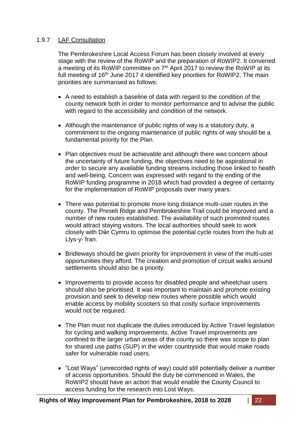# 1.9.7 LAF Consultation

The Pembrokeshire Local Access Forum has been closely involved at every stage with the review of the RoWIP and the preparation of RoWIP2. It convened a meeting of its RoWIP committee on 7<sup>th</sup> April 2017 to review the RoWIP at its full meeting of 16<sup>th</sup> June 2017 it identified key priorities for RoWIP2. The main priorities are summarised as follows:

- A need to establish a baseline of data with regard to the condition of the county network both in order to monitor performance and to advise the public with regard to the accessibility and condition of the network.
- Although the maintenance of public rights of way is a statutory duty, a commitment to the ongoing maintenance of public rights of way should be a fundamental priority for the Plan.
- Plan objectives must be achievable and although there was concern about the uncertainty of future funding, the objectives need to be aspirational in order to secure any available funding streams including those linked to health and well-being. Concern was expressed with regard to the ending of the RoWIP funding programme in 2018 which had provided a degree of certainty for the implementation of RoWIP proposals over many years.
- There was potential to promote more long distance multi-user routes in the county. The Preseli Ridge and Pembrokeshire Trail could be improved and a number of new routes established. The availability of such promoted routes would attract staying visitors. The local authorities should seek to work closely with Dŵr Cymru to optimise the potential cycle routes from the hub at Llys-y- fran.
- Bridleways should be given priority for improvement in view of the multi-user opportunities they afford. The creation and promotion of circuit walks around settlements should also be a priority.
- Improvements to provide access for disabled people and wheelchair users should also be prioritised. It was important to maintain and promote existing provision and seek to develop new routes where possible which would enable access by mobility scooters so that costly surface improvements would not be required.
- The Plan must not duplicate the duties introduced by Active Travel legislation for cycling and walking improvements. Active Travel improvements are confined to the larger urban areas of the county so there was scope to plan for shared use paths (SUP) in the wider countryside that would make roads safer for vulnerable road users.
- "Lost Ways" (unrecorded rights of way) could still potentially deliver a number of access opportunities. Should the duty be commenced in Wales, the RoWIP2 should have an action that would enable the County Council to access funding for the research into Lost Ways.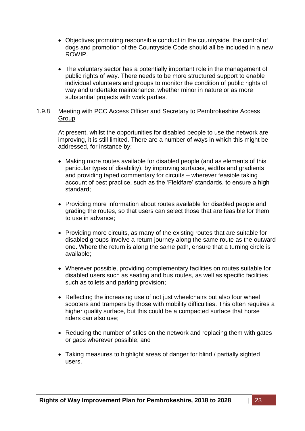- Objectives promoting responsible conduct in the countryside, the control of dogs and promotion of the Countryside Code should all be included in a new ROWIP.
- The voluntary sector has a potentially important role in the management of public rights of way. There needs to be more structured support to enable individual volunteers and groups to monitor the condition of public rights of way and undertake maintenance, whether minor in nature or as more substantial projects with work parties.

#### 1.9.8 Meeting with PCC Access Officer and Secretary to Pembrokeshire Access **Group**

At present, whilst the opportunities for disabled people to use the network are improving, it is still limited. There are a number of ways in which this might be addressed, for instance by:

- Making more routes available for disabled people (and as elements of this, particular types of disability), by improving surfaces, widths and gradients and providing taped commentary for circuits – wherever feasible taking account of best practice, such as the 'Fieldfare' standards, to ensure a high standard;
- Providing more information about routes available for disabled people and grading the routes, so that users can select those that are feasible for them to use in advance;
- Providing more circuits, as many of the existing routes that are suitable for disabled groups involve a return journey along the same route as the outward one. Where the return is along the same path, ensure that a turning circle is available;
- Wherever possible, providing complementary facilities on routes suitable for disabled users such as seating and bus routes, as well as specific facilities such as toilets and parking provision;
- Reflecting the increasing use of not just wheelchairs but also four wheel scooters and trampers by those with mobility difficulties. This often requires a higher quality surface, but this could be a compacted surface that horse riders can also use;
- Reducing the number of stiles on the network and replacing them with gates or gaps wherever possible; and
- Taking measures to highlight areas of danger for blind / partially sighted users.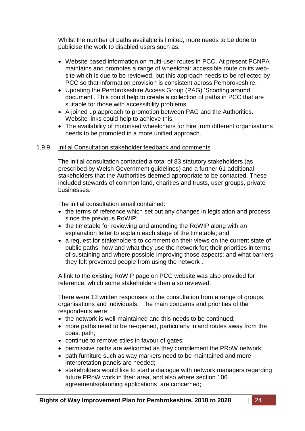Whilst the number of paths available is limited, more needs to be done to publicise the work to disabled users such as:

- Website based information on multi-user routes in PCC. At present PCNPA maintains and promotes a range of wheelchair accessible route on its website which is due to be reviewed, but this approach needs to be reflected by PCC so that information provision is consistent across Pembrokeshire.
- Updating the Pembrokeshire Access Group (PAG) 'Scooting around document'. This could help to create a collection of paths in PCC that are suitable for those with accessibility problems.
- A joined up approach to promotion between PAG and the Authorities. Website links could help to achieve this.
- The availability of motorised wheelchairs for hire from different organisations needs to be promoted in a more unified approach.

#### 1.9.9 Initial Consultation stakeholder feedback and comments

The initial consultation contacted a total of 83 statutory stakeholders (as prescribed by Welsh Government guidelines) and a further 61 additional stakeholders that the Authorities deemed appropriate to be contacted. These included stewards of common land, charities and trusts, user groups, private businesses.

The initial consultation email contained:

- the terms of reference which set out any changes in legislation and process since the previous RoWIP;
- the timetable for reviewing and amending the RoWIP along with an explanation letter to explain each stage of the timetable; and
- a request for stakeholders to comment on their views on the current state of public paths; how and what they use the network for; their priorities in terms of sustaining and where possible improving those aspects; and what barriers they felt prevented people from using the network .

A link to the existing RoWIP page on PCC website was also provided for reference, which some stakeholders then also reviewed.

There were 13 written responses to the consultation from a range of groups, organisations and individuals. The main concerns and priorities of the respondents were:

- the network is well-maintained and this needs to be continued;
- more paths need to be re-opened, particularly inland routes away from the coast path;
- continue to remove stiles in favour of gates;
- permissive paths are welcomed as they complement the PRoW network;
- path furniture such as way markers need to be maintained and more interpretation panels are needed;
- stakeholders would like to start a dialogue with network managers regarding future PRoW work in their area, and also where section 106 agreements/planning applications are concerned;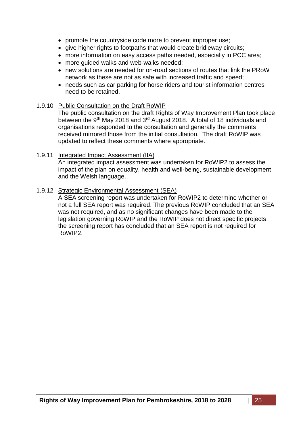- promote the countryside code more to prevent improper use;
- give higher rights to footpaths that would create bridleway circuits;
- more information on easy access paths needed, especially in PCC area;
- more guided walks and web-walks needed;
- new solutions are needed for on-road sections of routes that link the PRoW network as these are not as safe with increased traffic and speed;
- needs such as car parking for horse riders and tourist information centres need to be retained.

#### 1.9.10 Public Consultation on the Draft RoWIP

The public consultation on the draft Rights of Way Improvement Plan took place between the 9<sup>th</sup> May 2018 and 3<sup>rd</sup> August 2018. A total of 18 individuals and organisations responded to the consultation and generally the comments received mirrored those from the initial consultation. The draft RoWIP was updated to reflect these comments where appropriate.

#### 1.9.11 Integrated Impact Assessment (IIA)

An integrated impact assessment was undertaken for RoWIP2 to assess the impact of the plan on equality, health and well-being, sustainable development and the Welsh language.

#### 1.9.12 Strategic Environmental Assessment (SEA)

A SEA screening report was undertaken for RoWIP2 to determine whether or not a full SEA report was required. The previous RoWIP concluded that an SEA was not required, and as no significant changes have been made to the legislation governing RoWIP and the RoWIP does not direct specific projects, the screening report has concluded that an SEA report is not required for RoWIP2.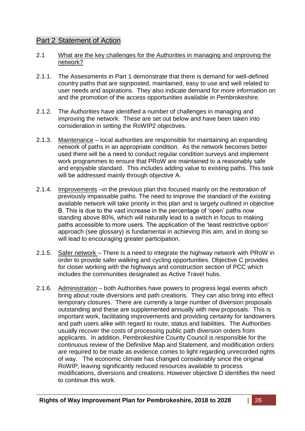# Part 2 Statement of Action

- 2.1 What are the key challenges for the Authorities in managing and improving the network?
- 2.1.1. The Assessments in Part 1 demonstrate that there is demand for well-defined country paths that are signposted, maintained, easy to use and well related to user needs and aspirations. They also indicate demand for more information on and the promotion of the access opportunities available in Pembrokeshire.
- 2.1.2. The Authorities have identified a number of challenges in managing and improving the network. These are set out below and have been taken into consideration in setting the RoWIP2 objectives.
- 2.1.3. Maintenance local authorities are responsible for maintaining an expanding network of paths in an appropriate condition. As the network becomes better used there will be a need to conduct regular condition surveys and implement work programmes to ensure that PRoW are maintained to a reasonably safe and enjoyable standard. This includes adding value to existing paths. This task will be addressed mainly through objective A.
- 2.1.4. Improvements –in the previous plan this focused mainly on the restoration of previously impassable paths. The need to improve the standard of the existing available network will take priority in this plan and is largely outlined in objective B. This is due to the vast increase in the percentage of 'open' paths now standing above 80%, which will naturally lead to a switch in focus to making paths accessible to more users. The application of the 'least restrictive option' approach (see glossary) is fundamental in achieving this aim, and in doing so will lead to encouraging greater participation.
- 2.1.5. Safer network There is a need to integrate the highway network with PRoW in order to provide safer walking and cycling opportunities. Objective C provides for closer working with the highways and construction section of PCC which includes the communities designated as Active Travel hubs.
- 2.1.6. Administration both Authorities have powers to progress legal events which bring about route diversions and path creations. They can also bring into effect temporary closures. There are currently a large number of diversion proposals outstanding and these are supplemented annually with new proposals. This is important work, facilitating improvements and providing certainty for landowners and path users alike with regard to route, status and liabilities. The Authorities usually recover the costs of processing public path diversion orders from applicants. In addition, Pembrokeshire County Council is responsible for the continuous review of the Definitive Map and Statement, and modification orders are required to be made as evidence comes to light regarding unrecorded rights of way. The economic climate has changed considerably since the original RoWIP, leaving significantly reduced resources available to process modifications, diversions and creations. However objective D identifies the need to continue this work.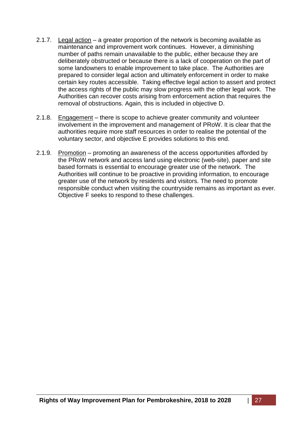- 2.1.7. Legal action a greater proportion of the network is becoming available as maintenance and improvement work continues. However, a diminishing number of paths remain unavailable to the public, either because they are deliberately obstructed or because there is a lack of cooperation on the part of some landowners to enable improvement to take place. The Authorities are prepared to consider legal action and ultimately enforcement in order to make certain key routes accessible. Taking effective legal action to assert and protect the access rights of the public may slow progress with the other legal work. The Authorities can recover costs arising from enforcement action that requires the removal of obstructions. Again, this is included in objective D.
- 2.1.8. Engagement there is scope to achieve greater community and volunteer involvement in the improvement and management of PRoW. It is clear that the authorities require more staff resources in order to realise the potential of the voluntary sector, and objective E provides solutions to this end.
- 2.1.9. Promotion promoting an awareness of the access opportunities afforded by the PRoW network and access land using electronic (web-site), paper and site based formats is essential to encourage greater use of the network. The Authorities will continue to be proactive in providing information, to encourage greater use of the network by residents and visitors. The need to promote responsible conduct when visiting the countryside remains as important as ever. Objective F seeks to respond to these challenges.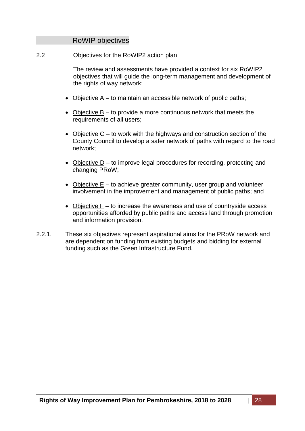# RoWIP objectives

2.2 Objectives for the RoWIP2 action plan

The review and assessments have provided a context for six RoWIP2 objectives that will guide the long-term management and development of the rights of way network:

- Objective  $A t_0$  maintain an accessible network of public paths;
- Objective  $B -$  to provide a more continuous network that meets the requirements of all users;
- Objective  $C -$  to work with the highways and construction section of the County Council to develop a safer network of paths with regard to the road network;
- Objective  $D$  to improve legal procedures for recording, protecting and changing PRoW;
- $\bullet$  Objective E to achieve greater community, user group and volunteer involvement in the improvement and management of public paths; and
- Objective  $F -$  to increase the awareness and use of countryside access opportunities afforded by public paths and access land through promotion and information provision.
- 2.2.1. These six objectives represent aspirational aims for the PRoW network and are dependent on funding from existing budgets and bidding for external funding such as the Green Infrastructure Fund.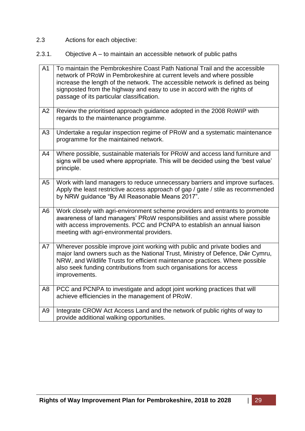- 2.3 Actions for each objective:
- 2.3.1. Objective A to maintain an accessible network of public paths

| $\overline{A1}$ | To maintain the Pembrokeshire Coast Path National Trail and the accessible<br>network of PRoW in Pembrokeshire at current levels and where possible<br>increase the length of the network. The accessible network is defined as being<br>signposted from the highway and easy to use in accord with the rights of<br>passage of its particular classification. |
|-----------------|----------------------------------------------------------------------------------------------------------------------------------------------------------------------------------------------------------------------------------------------------------------------------------------------------------------------------------------------------------------|
| A2              | Review the prioritised approach guidance adopted in the 2008 RoWIP with<br>regards to the maintenance programme.                                                                                                                                                                                                                                               |
| A <sub>3</sub>  | Undertake a regular inspection regime of PRoW and a systematic maintenance<br>programme for the maintained network.                                                                                                                                                                                                                                            |
| A4              | Where possible, sustainable materials for PRoW and access land furniture and<br>signs will be used where appropriate. This will be decided using the 'best value'<br>principle.                                                                                                                                                                                |
| A <sub>5</sub>  | Work with land managers to reduce unnecessary barriers and improve surfaces.<br>Apply the least restrictive access approach of gap / gate / stile as recommended<br>by NRW guidance "By All Reasonable Means 2017".                                                                                                                                            |
| A <sub>6</sub>  | Work closely with agri-environment scheme providers and entrants to promote<br>awareness of land managers' PRoW responsibilities and assist where possible<br>with access improvements. PCC and PCNPA to establish an annual liaison<br>meeting with agri-environmental providers.                                                                             |
| A7              | Wherever possible improve joint working with public and private bodies and<br>major land owners such as the National Trust, Ministry of Defence, Dŵr Cymru,<br>NRW, and Wildlife Trusts for efficient maintenance practices. Where possible<br>also seek funding contributions from such organisations for access<br>improvements.                             |
| A8              | PCC and PCNPA to investigate and adopt joint working practices that will<br>achieve efficiencies in the management of PRoW.                                                                                                                                                                                                                                    |
| A <sub>9</sub>  | Integrate CROW Act Access Land and the network of public rights of way to<br>provide additional walking opportunities.                                                                                                                                                                                                                                         |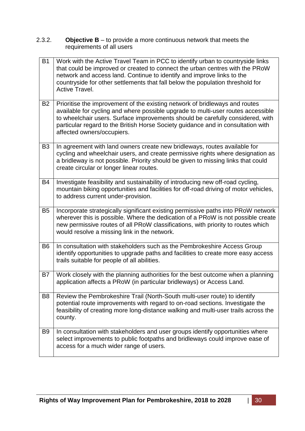2.3.2. **Objective B** – to provide a more continuous network that meets the requirements of all users

| <b>B1</b>      | Work with the Active Travel Team in PCC to identify urban to countryside links<br>that could be improved or created to connect the urban centres with the PRoW<br>network and access land. Continue to identify and improve links to the<br>countryside for other settlements that fall below the population threshold for<br>Active Travel.                        |
|----------------|---------------------------------------------------------------------------------------------------------------------------------------------------------------------------------------------------------------------------------------------------------------------------------------------------------------------------------------------------------------------|
| <b>B2</b>      | Prioritise the improvement of the existing network of bridleways and routes<br>available for cycling and where possible upgrade to multi-user routes accessible<br>to wheelchair users. Surface improvements should be carefully considered, with<br>particular regard to the British Horse Society guidance and in consultation with<br>affected owners/occupiers. |
| B <sub>3</sub> | In agreement with land owners create new bridleways, routes available for<br>cycling and wheelchair users, and create permissive rights where designation as<br>a bridleway is not possible. Priority should be given to missing links that could<br>create circular or longer linear routes.                                                                       |
| B4             | Investigate feasibility and sustainability of introducing new off-road cycling,<br>mountain biking opportunities and facilities for off-road driving of motor vehicles,<br>to address current under-provision.                                                                                                                                                      |
| B <sub>5</sub> | Incorporate strategically significant existing permissive paths into PRoW network<br>wherever this is possible. Where the dedication of a PRoW is not possible create<br>new permissive routes of all PRoW classifications, with priority to routes which<br>would resolve a missing link in the network.                                                           |
| B <sub>6</sub> | In consultation with stakeholders such as the Pembrokeshire Access Group<br>identify opportunities to upgrade paths and facilities to create more easy access<br>trails suitable for people of all abilities.                                                                                                                                                       |
| B7             | Work closely with the planning authorities for the best outcome when a planning<br>application affects a PRoW (in particular bridleways) or Access Land.                                                                                                                                                                                                            |
| B <sub>8</sub> | Review the Pembrokeshire Trail (North-South multi-user route) to identify<br>potential route improvements with regard to on-road sections. Investigate the<br>feasibility of creating more long-distance walking and multi-user trails across the<br>county.                                                                                                        |
| B <sub>9</sub> | In consultation with stakeholders and user groups identify opportunities where<br>select improvements to public footpaths and bridleways could improve ease of<br>access for a much wider range of users.                                                                                                                                                           |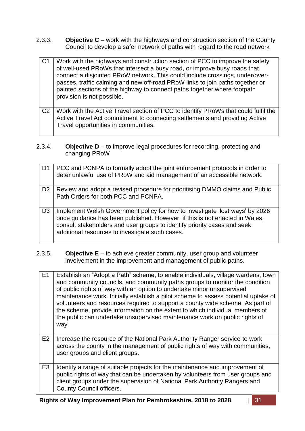2.3.3. **Objective C** – work with the highways and construction section of the County Council to develop a safer network of paths with regard to the road network

| C <sub>1</sub> | Work with the highways and construction section of PCC to improve the safety<br>of well-used PRoWs that intersect a busy road, or improve busy roads that<br>connect a disjointed PRoW network. This could include crossings, under/over-<br>passes, traffic calming and new off-road PRoW links to join paths together or<br>painted sections of the highway to connect paths together where footpath<br>provision is not possible. |
|----------------|--------------------------------------------------------------------------------------------------------------------------------------------------------------------------------------------------------------------------------------------------------------------------------------------------------------------------------------------------------------------------------------------------------------------------------------|
| C <sub>2</sub> | Work with the Active Travel section of PCC to identify PRoWs that could fulfil the<br>Active Travel Act commitment to connecting settlements and providing Active<br>Travel opportunities in communities.                                                                                                                                                                                                                            |

2.3.4. **Objective D** – to improve legal procedures for recording, protecting and changing PRoW

| D1             | PCC and PCNPA to formally adopt the joint enforcement protocols in order to<br>deter unlawful use of PRoW and aid management of an accessible network.                                                                                                                                     |
|----------------|--------------------------------------------------------------------------------------------------------------------------------------------------------------------------------------------------------------------------------------------------------------------------------------------|
| D <sub>2</sub> | Review and adopt a revised procedure for prioritising DMMO claims and Public<br>Path Orders for both PCC and PCNPA.                                                                                                                                                                        |
| D <sub>3</sub> | Implement Welsh Government policy for how to investigate 'lost ways' by 2026<br>once quidance has been published. However, if this is not enacted in Wales,<br>consult stakeholders and user groups to identify priority cases and seek<br>additional resources to investigate such cases. |

2.3.5. **Objective E** – to achieve greater community, user group and volunteer involvement in the improvement and management of public paths.

| E1             | Establish an "Adopt a Path" scheme, to enable individuals, village wardens, town<br>and community councils, and community paths groups to monitor the condition<br>of public rights of way with an option to undertake minor unsupervised<br>maintenance work. Initially establish a pilot scheme to assess potential uptake of<br>volunteers and resources required to support a county wide scheme. As part of<br>the scheme, provide information on the extent to which individual members of<br>the public can undertake unsupervised maintenance work on public rights of<br>way. |
|----------------|----------------------------------------------------------------------------------------------------------------------------------------------------------------------------------------------------------------------------------------------------------------------------------------------------------------------------------------------------------------------------------------------------------------------------------------------------------------------------------------------------------------------------------------------------------------------------------------|
| E2             | Increase the resource of the National Park Authority Ranger service to work<br>across the county in the management of public rights of way with communities,<br>user groups and client groups.                                                                                                                                                                                                                                                                                                                                                                                         |
| E <sub>3</sub> | Identify a range of suitable projects for the maintenance and improvement of<br>public rights of way that can be undertaken by volunteers from user groups and<br>client groups under the supervision of National Park Authority Rangers and<br><b>County Council officers.</b>                                                                                                                                                                                                                                                                                                        |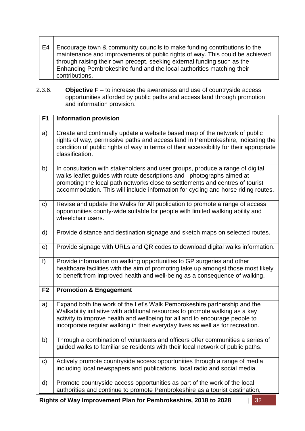- E4 Encourage town & community councils to make funding contributions to the maintenance and improvements of public rights of way. This could be achieved through raising their own precept, seeking external funding such as the Enhancing Pembrokeshire fund and the local authorities matching their contributions.
- 2.3.6. **Objective F** to increase the awareness and use of countryside access opportunities afforded by public paths and access land through promotion and information provision.

| F1             | <b>Information provision</b>                                                                                                                                                                                                                                                                                                 |
|----------------|------------------------------------------------------------------------------------------------------------------------------------------------------------------------------------------------------------------------------------------------------------------------------------------------------------------------------|
| a)             | Create and continually update a website based map of the network of public<br>rights of way, permissive paths and access land in Pembrokeshire, indicating the<br>condition of public rights of way in terms of their accessibility for their appropriate<br>classification.                                                 |
| b)             | In consultation with stakeholders and user groups, produce a range of digital<br>walks leaflet guides with route descriptions and photographs aimed at<br>promoting the local path networks close to settlements and centres of tourist<br>accommodation. This will include information for cycling and horse riding routes. |
| c)             | Revise and update the Walks for All publication to promote a range of access<br>opportunities county-wide suitable for people with limited walking ability and<br>wheelchair users.                                                                                                                                          |
| d)             | Provide distance and destination signage and sketch maps on selected routes.                                                                                                                                                                                                                                                 |
| e)             | Provide signage with URLs and QR codes to download digital walks information.                                                                                                                                                                                                                                                |
| $f$ )          | Provide information on walking opportunities to GP surgeries and other<br>healthcare facilities with the aim of promoting take up amongst those most likely<br>to benefit from improved health and well-being as a consequence of walking.                                                                                   |
| F <sub>2</sub> | <b>Promotion &amp; Engagement</b>                                                                                                                                                                                                                                                                                            |
| a)             | Expand both the work of the Let's Walk Pembrokeshire partnership and the<br>Walkability initiative with additional resources to promote walking as a key<br>activity to improve health and wellbeing for all and to encourage people to<br>incorporate regular walking in their everyday lives as well as for recreation.    |
| b)             | Through a combination of volunteers and officers offer communities a series of<br>guided walks to familiarise residents with their local network of public paths.                                                                                                                                                            |
| $\mathbf{C}$   | Actively promote countryside access opportunities through a range of media<br>including local newspapers and publications, local radio and social media.                                                                                                                                                                     |
| d)             | Promote countryside access opportunities as part of the work of the local<br>authorities and continue to promote Pembrokeshire as a tourist destination,                                                                                                                                                                     |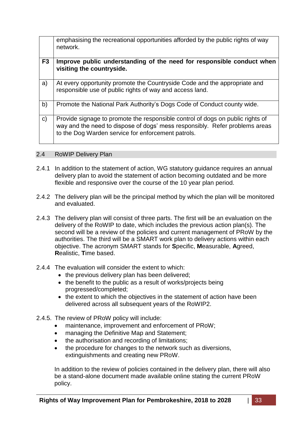emphasising the recreational opportunities afforded by the public rights of way network.

| F <sub>3</sub> | Improve public understanding of the need for responsible conduct when<br>visiting the countryside.                                                                                                                  |
|----------------|---------------------------------------------------------------------------------------------------------------------------------------------------------------------------------------------------------------------|
| a)             | At every opportunity promote the Countryside Code and the appropriate and<br>responsible use of public rights of way and access land.                                                                               |
| b)             | Promote the National Park Authority's Dogs Code of Conduct county wide.                                                                                                                                             |
| $\mathsf{C}$   | Provide signage to promote the responsible control of dogs on public rights of<br>way and the need to dispose of dogs' mess responsibly. Refer problems areas<br>to the Dog Warden service for enforcement patrols. |

2.4 RoWIP Delivery Plan

- 2.4.1 In addition to the statement of action, WG statutory guidance requires an annual delivery plan to avoid the statement of action becoming outdated and be more flexible and responsive over the course of the 10 year plan period.
- 2.4.2 The delivery plan will be the principal method by which the plan will be monitored and evaluated.
- 2.4.3 The delivery plan will consist of three parts. The first will be an evaluation on the delivery of the RoWIP to date, which includes the previous action plan(s). The second will be a review of the policies and current management of PRoW by the authorities. The third will be a SMART work plan to delivery actions within each objective. The acronym SMART stands for **S**pecific, **M**easurable, **A**greed, **R**ealistic, **T**ime based.
- 2.4.4 The evaluation will consider the extent to which:
	- the previous delivery plan has been delivered;
	- the benefit to the public as a result of works/projects being progressed/completed;
	- the extent to which the objectives in the statement of action have been delivered across all subsequent years of the RoWIP2.
- 2.4.5. The review of PRoW policy will include:
	- maintenance, improvement and enforcement of PRoW;
	- managing the Definitive Map and Statement;
	- the authorisation and recording of limitations;
	- the procedure for changes to the network such as diversions, extinguishments and creating new PRoW.

In addition to the review of policies contained in the delivery plan, there will also be a stand-alone document made available online stating the current PRoW policy.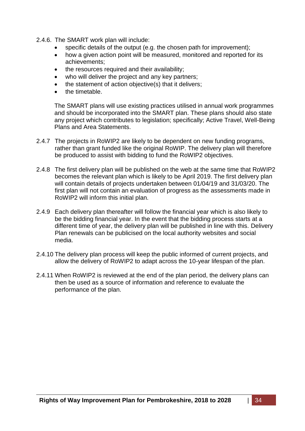- 2.4.6. The SMART work plan will include:
	- specific details of the output (e.g. the chosen path for improvement);
	- how a given action point will be measured, monitored and reported for its achievements;
	- the resources required and their availability;
	- who will deliver the project and any key partners;
	- the statement of action objective(s) that it delivers;
	- the timetable.

The SMART plans will use existing practices utilised in annual work programmes and should be incorporated into the SMART plan. These plans should also state any project which contributes to legislation; specifically; Active Travel, Well-Being Plans and Area Statements.

- 2.4.7 The projects in RoWIP2 are likely to be dependent on new funding programs, rather than grant funded like the original RoWIP. The delivery plan will therefore be produced to assist with bidding to fund the RoWIP2 objectives.
- 2.4.8 The first delivery plan will be published on the web at the same time that RoWIP2 becomes the relevant plan which is likely to be April 2019. The first delivery plan will contain details of projects undertaken between 01/04/19 and 31/03/20. The first plan will not contain an evaluation of progress as the assessments made in RoWIP2 will inform this initial plan.
- 2.4.9 Each delivery plan thereafter will follow the financial year which is also likely to be the bidding financial year. In the event that the bidding process starts at a different time of year, the delivery plan will be published in line with this. Delivery Plan renewals can be publicised on the local authority websites and social media.
- 2.4.10 The delivery plan process will keep the public informed of current projects, and allow the delivery of RoWIP2 to adapt across the 10-year lifespan of the plan.
- 2.4.11 When RoWIP2 is reviewed at the end of the plan period, the delivery plans can then be used as a source of information and reference to evaluate the performance of the plan.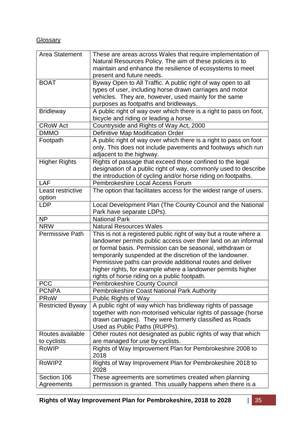# **Glossary**

| Area Statement          | These are areas across Wales that require implementation of                           |
|-------------------------|---------------------------------------------------------------------------------------|
|                         | Natural Resources Policy. The aim of these policies is to                             |
|                         | maintain and enhance the resilience of ecosystems to meet                             |
|                         | present and future needs.                                                             |
| <b>BOAT</b>             | Byway Open to All Traffic. A public right of way open to all                          |
|                         | types of user, including horse drawn carriages and motor                              |
|                         | vehicles. They are, however, used mainly for the same                                 |
|                         | purposes as footpaths and bridleways.                                                 |
| <b>Bridleway</b>        | A public right of way over which there is a right to pass on foot,                    |
|                         | bicycle and riding or leading a horse.                                                |
| <b>CRoW Act</b>         | Countryside and Rights of Way Act, 2000                                               |
| <b>DMMO</b>             | Definitive Map Modification Order                                                     |
| Footpath                | A public right of way over which there is a right to pass on foot                     |
|                         | only. This does not include pavements and footways which run                          |
|                         |                                                                                       |
|                         | adjacent to the highway.<br>Rights of passage that exceed those confined to the legal |
| <b>Higher Rights</b>    |                                                                                       |
|                         | designation of a public right of way, commonly used to describe                       |
|                         | the introduction of cycling and/or horse riding on footpaths.                         |
| LAF                     | Pembrokeshire Local Access Forum                                                      |
| Least restrictive       | The option that facilitates access for the widest range of users.                     |
| option                  |                                                                                       |
| <b>LDP</b>              | Local Development Plan (The County Council and the National                           |
|                         | Park have separate LDPs).                                                             |
| <b>NP</b>               | <b>National Park</b>                                                                  |
| <b>NRW</b>              | <b>Natural Resources Wales</b>                                                        |
| <b>Permissive Path</b>  | This is not a registered public right of way but a route where a                      |
|                         | landowner permits public access over their land on an informal                        |
|                         | or formal basis. Permission can be seasonal, withdrawn or                             |
|                         | temporarily suspended at the discretion of the landowner.                             |
|                         | Permissive paths can provide additional routes and deliver                            |
|                         | higher rights, for example where a landowner permits higher                           |
|                         | rights of horse riding on a public footpath.                                          |
| <b>PCC</b>              | <b>Pembrokeshire County Council</b>                                                   |
| <b>PCNPA</b>            | Pembrokeshire Coast National Park Authority                                           |
| <b>PRoW</b>             | Public Rights of Way                                                                  |
| <b>Restricted Byway</b> | A public right of way which has bridleway rights of passage                           |
|                         | together with non-motorised vehicular rights of passage (horse                        |
|                         | drawn carriages). They were formerly classified as Roads                              |
|                         | Used as Public Paths (RUPPs).                                                         |
| Routes available        | Other routes not designated as public rights of way that which                        |
| to cyclists             | are managed for use by cyclists.                                                      |
| <b>RoWIP</b>            | Rights of Way Improvement Plan for Pembrokeshire 2008 to                              |
|                         | 2018                                                                                  |
| RoWIP2                  |                                                                                       |
|                         | Rights of Way Improvement Plan for Pembrokeshire 2018 to                              |
|                         | 2028                                                                                  |
| Section 106             | These agreements are sometimes created when planning                                  |
| Agreements              | permission is granted. This usually happens when there is a                           |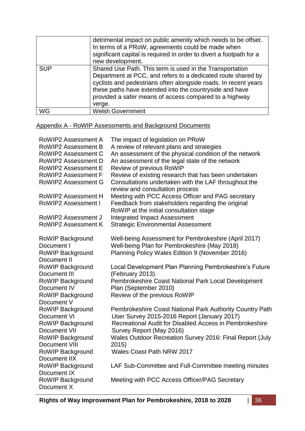|            | detrimental impact on public amenity which needs to be offset.<br>In terms of a PRoW, agreements could be made when<br>significant capital is required in order to divert a footpath for a<br>new development.                                                                                                             |
|------------|----------------------------------------------------------------------------------------------------------------------------------------------------------------------------------------------------------------------------------------------------------------------------------------------------------------------------|
| <b>SUP</b> | Shared Use Path. This term is used in the Transportation<br>Department at PCC, and refers to a dedicated route shared by<br>cyclists and pedestrians often alongside roads. In recent years<br>these paths have extended into the countryside and have<br>provided a safer means of access compared to a highway<br>verge. |
| WG         | <b>Welsh Government</b>                                                                                                                                                                                                                                                                                                    |

# Appendix A - RoWIP Assessments and Background Documents

| <b>RoWIP2 Assessment A</b>                     | The impact of legislation on PRoW                                                            |
|------------------------------------------------|----------------------------------------------------------------------------------------------|
| <b>RoWIP2 Assessment B</b>                     | A review of relevant plans and strategies                                                    |
| <b>RoWIP2 Assessment C</b>                     | An assessment of the physical condition of the network                                       |
| <b>RoWIP2 Assessment D</b>                     | An assessment of the legal state of the network                                              |
| <b>RoWIP2 Assessment E</b>                     | Review of previous RoWIP                                                                     |
| <b>RoWIP2 Assessment F</b>                     | Review of existing research that has been undertaken                                         |
| <b>RoWIP2 Assessment G</b>                     | Consultations undertaken with the LAF throughout the<br>review and consultation process      |
| <b>RoWIP2 Assessment H</b>                     | Meeting with PCC Access Officer and PAG secretary                                            |
| RoWIP2 Assessment I                            | Feedback from stakeholders regarding the original<br>RoWIP at the initial consultation stage |
| <b>RoWIP2 Assessment J</b>                     | <b>Integrated Impact Assessment</b>                                                          |
| <b>RoWIP2 Assessment K</b>                     | <b>Strategic Environmental Assessment</b>                                                    |
| <b>RoWIP Background</b>                        | Well-being Assessment for Pembrokeshire (April 2017)                                         |
| Document I                                     | Well-being Plan for Pembrokeshire (May 2018)                                                 |
| <b>RoWIP Background</b><br>Document II         | Planning Policy Wales Edition 9 (November 2016)                                              |
| RoWIP Background<br>Document III               | Local Development Plan Planning Pembrokeshire's Future<br>(February 2013).                   |
| RoWIP Background                               | Pembrokeshire Coast National Park Local Development                                          |
| Document IV                                    | Plan (September 2010)                                                                        |
| <b>RoWIP Background</b><br>Document V          | Review of the previous RoWIP                                                                 |
| <b>RoWIP Background</b>                        | Pembrokeshire Coast National Park Authority Country Path                                     |
| Document VI                                    | User Survey 2015-2016 Report (January 2017)                                                  |
| <b>RoWIP Background</b><br><b>Document VII</b> | Recreational Audit for Disabled Access in Pembrokeshire<br>Survey Report (May 2016)          |
| <b>RoWIP Background</b>                        | Wales Outdoor Recreation Survey 2016: Final Report (July                                     |
| Document VIII                                  | 2015)                                                                                        |
| <b>RoWIP Background</b><br>Document IIX        | Wales Coast Path NRW 2017                                                                    |
| <b>RoWIP Background</b><br>Document IX         | LAF Sub-Committee and Full-Committee meeting minutes                                         |
| <b>RoWIP Background</b><br>Document X          | Meeting with PCC Access Officer/PAG Secretary                                                |